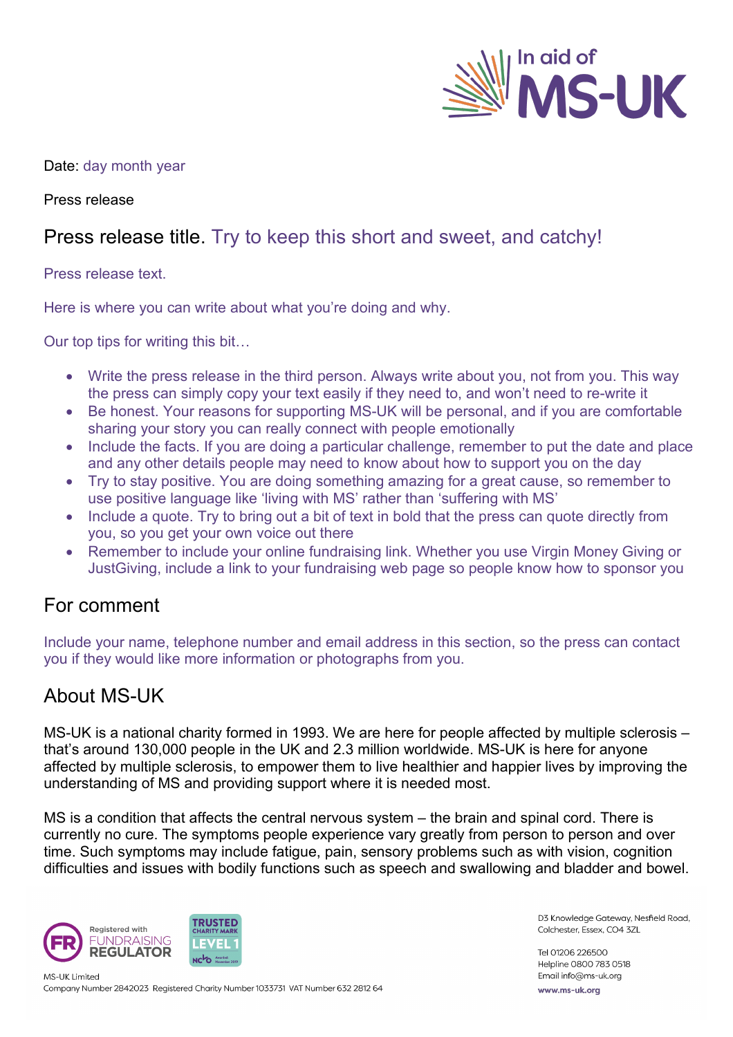

## Date: day month year

Press release

## Press release title. Try to keep this short and sweet, and catchy!

Press release text.

Here is where you can write about what you're doing and why.

Our top tips for writing this bit…

- Write the press release in the third person. Always write about you, not from you. This way the press can simply copy your text easily if they need to, and won't need to re-write it
- Be honest. Your reasons for supporting MS-UK will be personal, and if you are comfortable sharing your story you can really connect with people emotionally
- Include the facts. If you are doing a particular challenge, remember to put the date and place and any other details people may need to know about how to support you on the day
- Try to stay positive. You are doing something amazing for a great cause, so remember to use positive language like 'living with MS' rather than 'suffering with MS'
- Include a quote. Try to bring out a bit of text in bold that the press can quote directly from you, so you get your own voice out there
- Remember to include your online fundraising link. Whether you use Virgin Money Giving or JustGiving, include a link to your fundraising web page so people know how to sponsor you

## For comment

Include your name, telephone number and email address in this section, so the press can contact you if they would like more information or photographs from you.

## About MS-UK

MS-UK is a national charity formed in 1993. We are here for people affected by multiple sclerosis – that's around 130,000 people in the UK and 2.3 million worldwide. MS-UK is here for anyone affected by multiple sclerosis, to empower them to live healthier and happier lives by improving the understanding of MS and providing support where it is needed most.

MS is a condition that affects the central nervous system – the brain and spinal cord. There is currently no cure. The symptoms people experience vary greatly from person to person and over time. Such symptoms may include fatigue, pain, sensory problems such as with vision, cognition difficulties and issues with bodily functions such as speech and swallowing and bladder and bowel.



D3 Knowledge Gateway, Nesfield Road, Colchester, Essex, CO4 3ZL

Tel 01206 226500 Helpline 0800 783 0518 Email info@ms-uk.org www.ms-uk.org